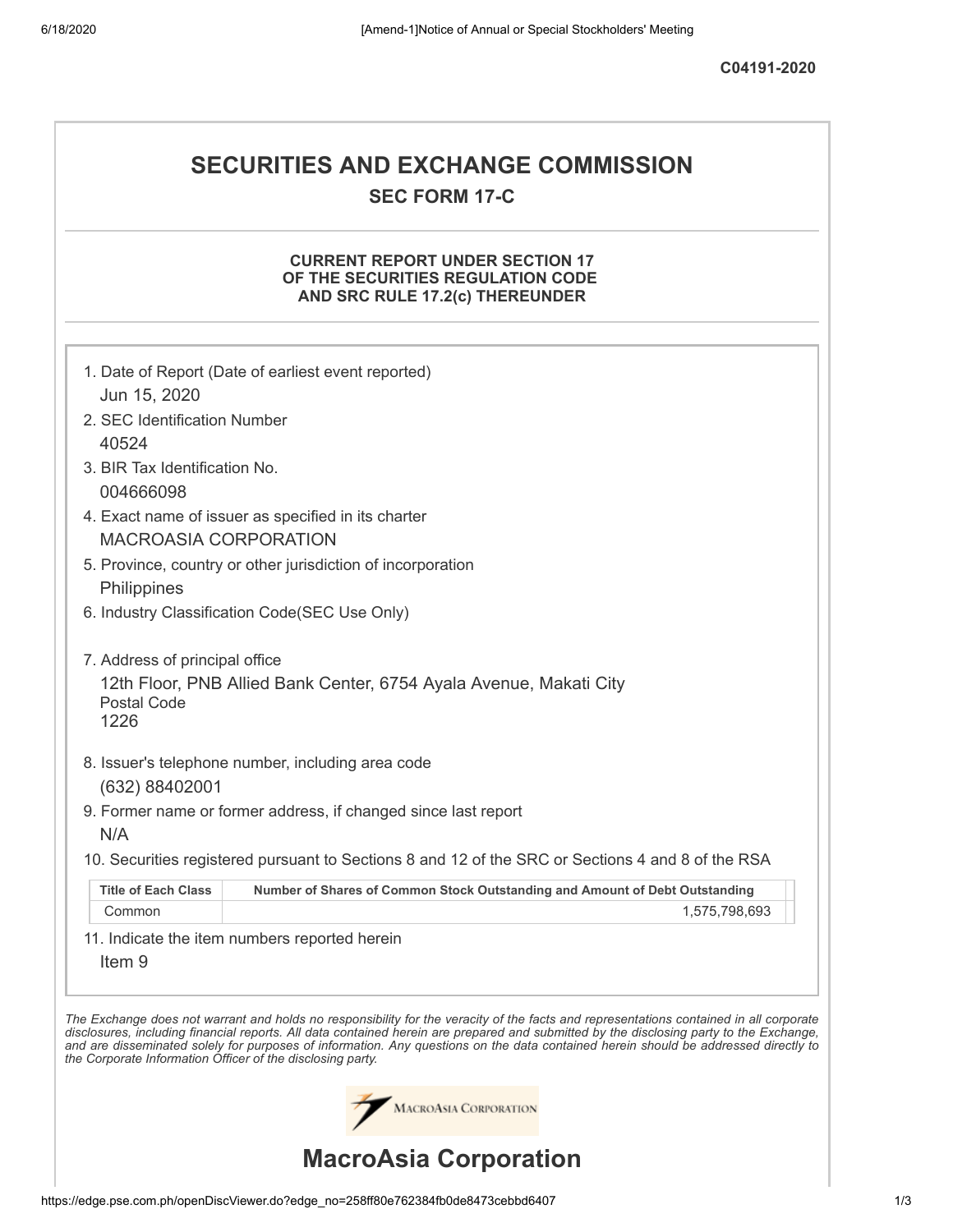**C04191-2020**

## **SECURITIES AND EXCHANGE COMMISSION SEC FORM 17-C**

## **CURRENT REPORT UNDER SECTION 17 OF THE SECURITIES REGULATION CODE AND SRC RULE 17.2(c) THEREUNDER**

|                                                            | 1. Date of Report (Date of earliest event reported)                                                                                                                                                                                                                                                                                                                                                                      |
|------------------------------------------------------------|--------------------------------------------------------------------------------------------------------------------------------------------------------------------------------------------------------------------------------------------------------------------------------------------------------------------------------------------------------------------------------------------------------------------------|
| Jun 15, 2020                                               |                                                                                                                                                                                                                                                                                                                                                                                                                          |
| 2. SEC Identification Number                               |                                                                                                                                                                                                                                                                                                                                                                                                                          |
| 40524                                                      |                                                                                                                                                                                                                                                                                                                                                                                                                          |
| 3. BIR Tax Identification No.                              |                                                                                                                                                                                                                                                                                                                                                                                                                          |
| 004666098                                                  |                                                                                                                                                                                                                                                                                                                                                                                                                          |
|                                                            | 4. Exact name of issuer as specified in its charter                                                                                                                                                                                                                                                                                                                                                                      |
| <b>MACROASIA CORPORATION</b>                               |                                                                                                                                                                                                                                                                                                                                                                                                                          |
|                                                            | 5. Province, country or other jurisdiction of incorporation                                                                                                                                                                                                                                                                                                                                                              |
| Philippines                                                |                                                                                                                                                                                                                                                                                                                                                                                                                          |
|                                                            | 6. Industry Classification Code(SEC Use Only)                                                                                                                                                                                                                                                                                                                                                                            |
| 7. Address of principal office                             |                                                                                                                                                                                                                                                                                                                                                                                                                          |
| Postal Code<br>1226                                        | 12th Floor, PNB Allied Bank Center, 6754 Ayala Avenue, Makati City                                                                                                                                                                                                                                                                                                                                                       |
|                                                            | 8. Issuer's telephone number, including area code                                                                                                                                                                                                                                                                                                                                                                        |
| (632) 88402001                                             |                                                                                                                                                                                                                                                                                                                                                                                                                          |
|                                                            | 9. Former name or former address, if changed since last report                                                                                                                                                                                                                                                                                                                                                           |
| N/A                                                        |                                                                                                                                                                                                                                                                                                                                                                                                                          |
|                                                            | 10. Securities registered pursuant to Sections 8 and 12 of the SRC or Sections 4 and 8 of the RSA                                                                                                                                                                                                                                                                                                                        |
| <b>Title of Each Class</b>                                 | Number of Shares of Common Stock Outstanding and Amount of Debt Outstanding                                                                                                                                                                                                                                                                                                                                              |
| Common                                                     | 1,575,798,693                                                                                                                                                                                                                                                                                                                                                                                                            |
|                                                            | 11. Indicate the item numbers reported herein                                                                                                                                                                                                                                                                                                                                                                            |
| Item <sub>9</sub>                                          |                                                                                                                                                                                                                                                                                                                                                                                                                          |
|                                                            |                                                                                                                                                                                                                                                                                                                                                                                                                          |
| the Corporate Information Officer of the disclosing party. | The Exchange does not warrant and holds no responsibility for the veracity of the facts and representations contained in all corporate<br>disclosures, including financial reports. All data contained herein are prepared and submitted by the disclosing party to the Exchange,<br>and are disseminated solely for purposes of information. Any questions on the data contained herein should be addressed directly to |
|                                                            | <b>MACROASIA CORPORATION</b>                                                                                                                                                                                                                                                                                                                                                                                             |
|                                                            | <b>MacroAsia Corporation</b>                                                                                                                                                                                                                                                                                                                                                                                             |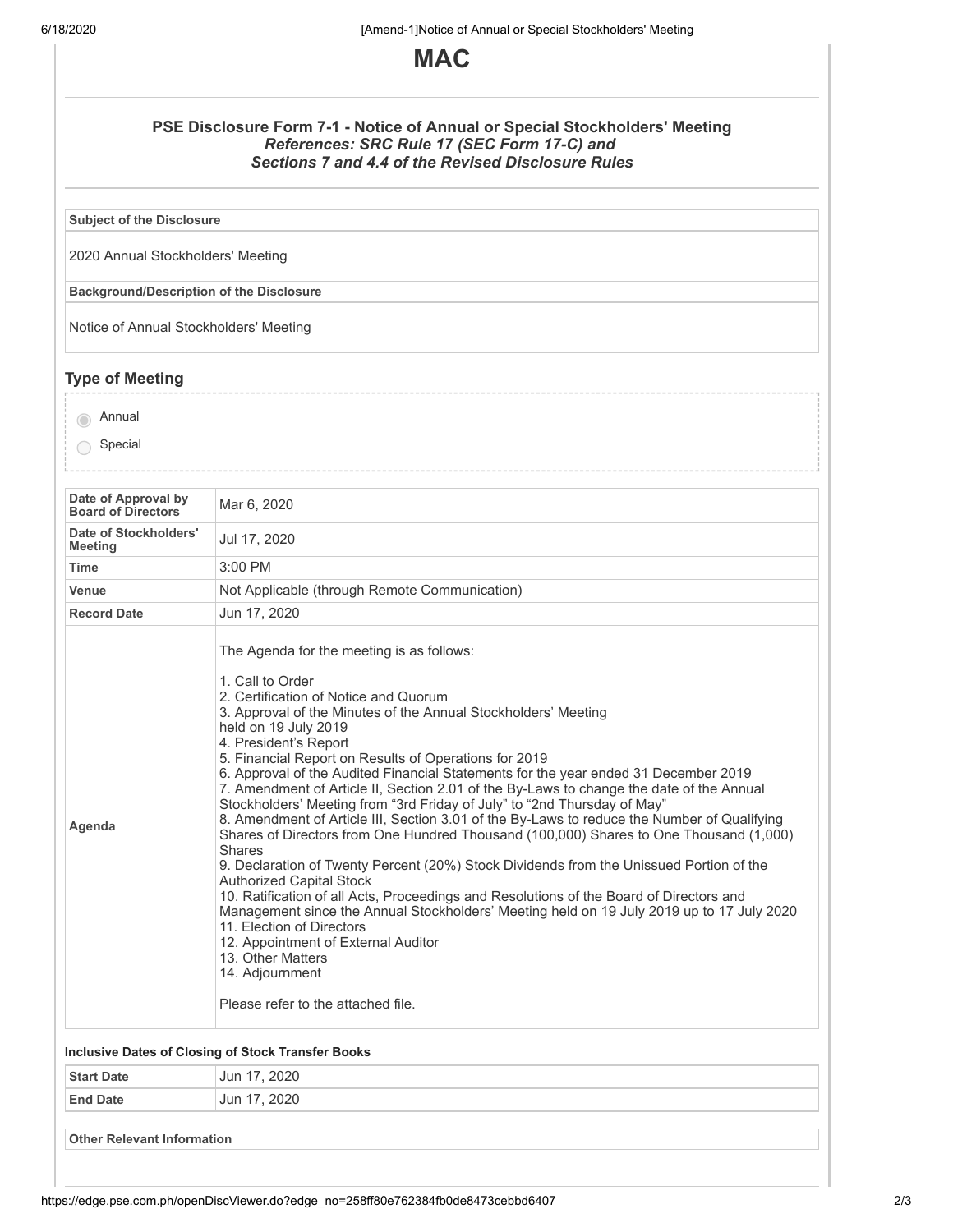

| PSE Disclosure Form 7-1 - Notice of Annual or Special Stockholders' Meeting |
|-----------------------------------------------------------------------------|
| References: SRC Rule 17 (SEC Form 17-C) and                                 |
| Sections 7 and 4.4 of the Revised Disclosure Rules                          |

**Subject of the Disclosure**

2020 Annual Stockholders' Meeting

**Background/Description of the Disclosure**

Notice of Annual Stockholders' Meeting

## **Type of Meeting**

**O** Annual

○ Special

| Date of Approval by<br><b>Board of Directors</b> | Mar 6, 2020                                                                                                                                                                                                                                                                                                                                                                                                                                                                                                                                                                                                                                                                                                                                                                                                                                                                                                                                                                                                                                                                                                                                                                                                                  |
|--------------------------------------------------|------------------------------------------------------------------------------------------------------------------------------------------------------------------------------------------------------------------------------------------------------------------------------------------------------------------------------------------------------------------------------------------------------------------------------------------------------------------------------------------------------------------------------------------------------------------------------------------------------------------------------------------------------------------------------------------------------------------------------------------------------------------------------------------------------------------------------------------------------------------------------------------------------------------------------------------------------------------------------------------------------------------------------------------------------------------------------------------------------------------------------------------------------------------------------------------------------------------------------|
| Date of Stockholders'<br><b>Meeting</b>          | Jul 17, 2020                                                                                                                                                                                                                                                                                                                                                                                                                                                                                                                                                                                                                                                                                                                                                                                                                                                                                                                                                                                                                                                                                                                                                                                                                 |
| <b>Time</b>                                      | $3:00$ PM                                                                                                                                                                                                                                                                                                                                                                                                                                                                                                                                                                                                                                                                                                                                                                                                                                                                                                                                                                                                                                                                                                                                                                                                                    |
| Venue                                            | Not Applicable (through Remote Communication)                                                                                                                                                                                                                                                                                                                                                                                                                                                                                                                                                                                                                                                                                                                                                                                                                                                                                                                                                                                                                                                                                                                                                                                |
| <b>Record Date</b>                               | Jun 17, 2020                                                                                                                                                                                                                                                                                                                                                                                                                                                                                                                                                                                                                                                                                                                                                                                                                                                                                                                                                                                                                                                                                                                                                                                                                 |
| Agenda                                           | The Agenda for the meeting is as follows:<br>1. Call to Order<br>2. Certification of Notice and Quorum<br>3. Approval of the Minutes of the Annual Stockholders' Meeting<br>held on 19 July 2019<br>4. President's Report<br>5. Financial Report on Results of Operations for 2019<br>6. Approval of the Audited Financial Statements for the year ended 31 December 2019<br>7. Amendment of Article II, Section 2.01 of the By-Laws to change the date of the Annual<br>Stockholders' Meeting from "3rd Friday of July" to "2nd Thursday of May"<br>8. Amendment of Article III, Section 3.01 of the By-Laws to reduce the Number of Qualifying<br>Shares of Directors from One Hundred Thousand (100,000) Shares to One Thousand (1,000)<br>Shares<br>9. Declaration of Twenty Percent (20%) Stock Dividends from the Unissued Portion of the<br><b>Authorized Capital Stock</b><br>10. Ratification of all Acts, Proceedings and Resolutions of the Board of Directors and<br>Management since the Annual Stockholders' Meeting held on 19 July 2019 up to 17 July 2020<br>11. Election of Directors<br>12. Appointment of External Auditor<br>13. Other Matters<br>14. Adjournment<br>Please refer to the attached file. |
|                                                  | <b>Inclusive Dates of Closing of Stock Transfer Books</b>                                                                                                                                                                                                                                                                                                                                                                                                                                                                                                                                                                                                                                                                                                                                                                                                                                                                                                                                                                                                                                                                                                                                                                    |
| <b>Start Date</b>                                | Jun 17, 2020                                                                                                                                                                                                                                                                                                                                                                                                                                                                                                                                                                                                                                                                                                                                                                                                                                                                                                                                                                                                                                                                                                                                                                                                                 |
| <b>End Date</b>                                  | Jun 17, 2020                                                                                                                                                                                                                                                                                                                                                                                                                                                                                                                                                                                                                                                                                                                                                                                                                                                                                                                                                                                                                                                                                                                                                                                                                 |
| <b>Other Relevant Information</b>                |                                                                                                                                                                                                                                                                                                                                                                                                                                                                                                                                                                                                                                                                                                                                                                                                                                                                                                                                                                                                                                                                                                                                                                                                                              |